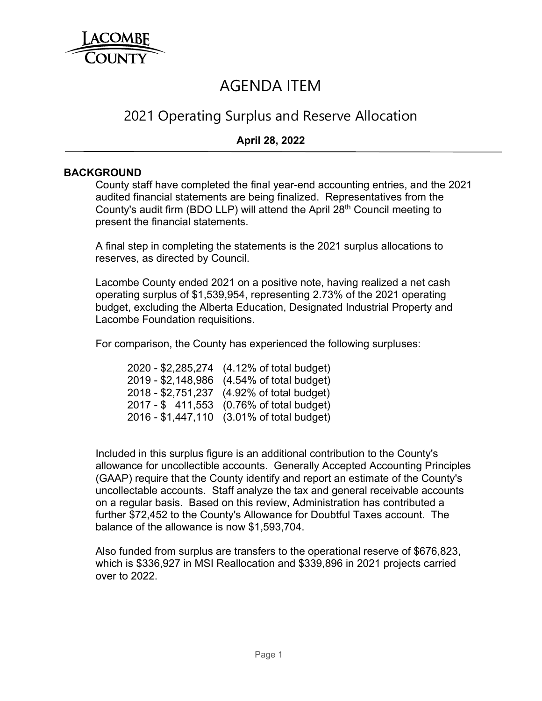

# AGENDA ITEM

# 2021 Operating Surplus and Reserve Allocation

# **April 28, 2022**

#### **BACKGROUND**

County staff have completed the final year-end accounting entries, and the 2021 audited financial statements are being finalized. Representatives from the County's audit firm (BDO LLP) will attend the April  $28<sup>th</sup>$  Council meeting to present the financial statements.

A final step in completing the statements is the 2021 surplus allocations to reserves, as directed by Council.

Lacombe County ended 2021 on a positive note, having realized a net cash operating surplus of \$1,539,954, representing 2.73% of the 2021 operating budget, excluding the Alberta Education, Designated Industrial Property and Lacombe Foundation requisitions.

For comparison, the County has experienced the following surpluses:

 2020 - \$2,285,274 (4.12% of total budget) 2019 - \$2,148,986 (4.54% of total budget) 2018 - \$2,751,237 (4.92% of total budget) 2017 - \$ 411,553 (0.76% of total budget) 2016 - \$1,447,110 (3.01% of total budget)

Included in this surplus figure is an additional contribution to the County's allowance for uncollectible accounts. Generally Accepted Accounting Principles (GAAP) require that the County identify and report an estimate of the County's uncollectable accounts. Staff analyze the tax and general receivable accounts on a regular basis. Based on this review, Administration has contributed a further \$72,452 to the County's Allowance for Doubtful Taxes account. The balance of the allowance is now \$1,593,704.

Also funded from surplus are transfers to the operational reserve of \$676,823, which is \$336,927 in MSI Reallocation and \$339,896 in 2021 projects carried over to 2022.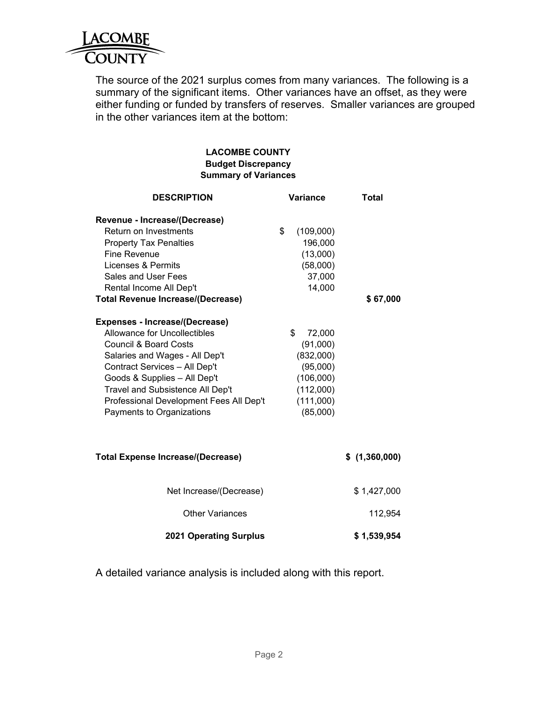

The source of the 2021 surplus comes from many variances. The following is a summary of the significant items. Other variances have an offset, as they were either funding or funded by transfers of reserves. Smaller variances are grouped in the other variances item at the bottom:

#### **LACOMBE COUNTY Budget Discrepancy Summary of Variances**

| <b>DESCRIPTION</b>                                                                                                                                                                                                                                                                                                                                                                                                                                                                                                                                             | <b>Variance</b>                                                                                                                                                                | <b>Total</b>  |
|----------------------------------------------------------------------------------------------------------------------------------------------------------------------------------------------------------------------------------------------------------------------------------------------------------------------------------------------------------------------------------------------------------------------------------------------------------------------------------------------------------------------------------------------------------------|--------------------------------------------------------------------------------------------------------------------------------------------------------------------------------|---------------|
| Revenue - Increase/(Decrease)<br>Return on Investments<br><b>Property Tax Penalties</b><br><b>Fine Revenue</b><br>Licenses & Permits<br>Sales and User Fees<br>Rental Income All Dep't<br><b>Total Revenue Increase/(Decrease)</b><br><b>Expenses - Increase/(Decrease)</b><br>Allowance for Uncollectibles<br><b>Council &amp; Board Costs</b><br>Salaries and Wages - All Dep't<br>Contract Services - All Dep't<br>Goods & Supplies - All Dep't<br>Travel and Subsistence All Dep't<br>Professional Development Fees All Dep't<br>Payments to Organizations | \$<br>(109,000)<br>196,000<br>(13,000)<br>(58,000)<br>37,000<br>14,000<br>\$<br>72,000<br>(91,000)<br>(832,000)<br>(95,000)<br>(106,000)<br>(112,000)<br>(111,000)<br>(85,000) | \$67,000      |
| <b>Total Expense Increase/(Decrease)</b>                                                                                                                                                                                                                                                                                                                                                                                                                                                                                                                       |                                                                                                                                                                                | \$(1,360,000) |
| Net Increase/(Decrease)                                                                                                                                                                                                                                                                                                                                                                                                                                                                                                                                        |                                                                                                                                                                                | \$1,427,000   |
| <b>Other Variances</b>                                                                                                                                                                                                                                                                                                                                                                                                                                                                                                                                         |                                                                                                                                                                                | 112,954       |
| <b>2021 Operating Surplus</b>                                                                                                                                                                                                                                                                                                                                                                                                                                                                                                                                  |                                                                                                                                                                                | \$1,539,954   |

A detailed variance analysis is included along with this report.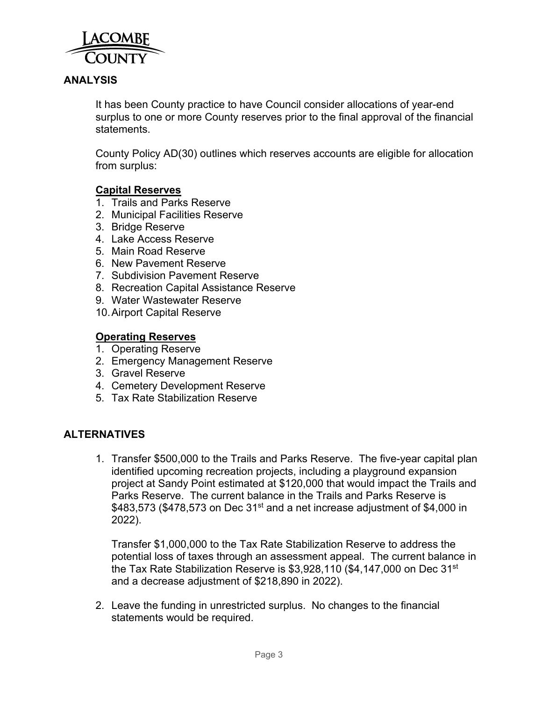

# **ANALYSIS**

It has been County practice to have Council consider allocations of year-end surplus to one or more County reserves prior to the final approval of the financial statements.

County Policy AD(30) outlines which reserves accounts are eligible for allocation from surplus:

#### **Capital Reserves**

- 1. Trails and Parks Reserve
- 2. Municipal Facilities Reserve
- 3. Bridge Reserve
- 4. Lake Access Reserve
- 5. Main Road Reserve
- 6. New Pavement Reserve
- 7. Subdivision Pavement Reserve
- 8. Recreation Capital Assistance Reserve
- 9. Water Wastewater Reserve
- 10. Airport Capital Reserve

#### **Operating Reserves**

- 1. Operating Reserve
- 2. Emergency Management Reserve
- 3. Gravel Reserve
- 4. Cemetery Development Reserve
- 5. Tax Rate Stabilization Reserve

## **ALTERNATIVES**

1. Transfer \$500,000 to the Trails and Parks Reserve. The five-year capital plan identified upcoming recreation projects, including a playground expansion project at Sandy Point estimated at \$120,000 that would impact the Trails and Parks Reserve. The current balance in the Trails and Parks Reserve is  $$483,573$  (\$478,573 on Dec 31<sup>st</sup> and a net increase adjustment of \$4,000 in 2022).

Transfer \$1,000,000 to the Tax Rate Stabilization Reserve to address the potential loss of taxes through an assessment appeal. The current balance in the Tax Rate Stabilization Reserve is  $$3,928,110$  (\$4,147,000 on Dec 31<sup>st</sup> and a decrease adjustment of \$218,890 in 2022).

2. Leave the funding in unrestricted surplus. No changes to the financial statements would be required.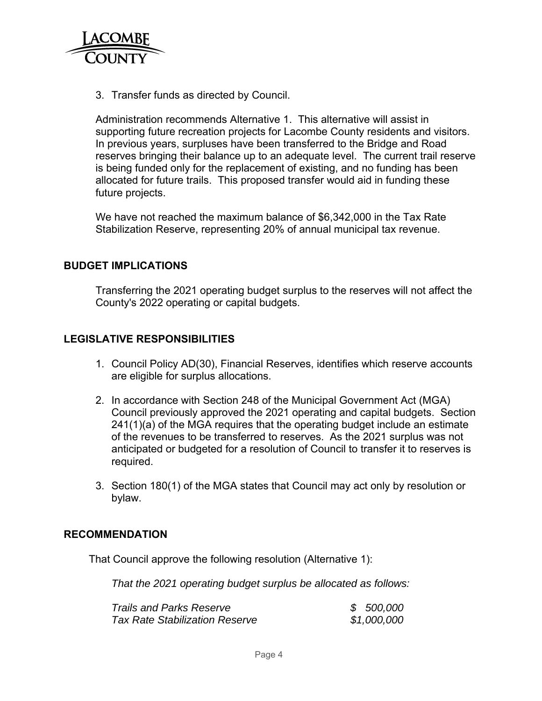

3. Transfer funds as directed by Council.

Administration recommends Alternative 1. This alternative will assist in supporting future recreation projects for Lacombe County residents and visitors. In previous years, surpluses have been transferred to the Bridge and Road reserves bringing their balance up to an adequate level. The current trail reserve is being funded only for the replacement of existing, and no funding has been allocated for future trails. This proposed transfer would aid in funding these future projects.

We have not reached the maximum balance of \$6,342,000 in the Tax Rate Stabilization Reserve, representing 20% of annual municipal tax revenue.

#### **BUDGET IMPLICATIONS**

Transferring the 2021 operating budget surplus to the reserves will not affect the County's 2022 operating or capital budgets.

# **LEGISLATIVE RESPONSIBILITIES**

- 1. Council Policy AD(30), Financial Reserves, identifies which reserve accounts are eligible for surplus allocations.
- 2. In accordance with Section 248 of the Municipal Government Act (MGA) Council previously approved the 2021 operating and capital budgets. Section 241(1)(a) of the MGA requires that the operating budget include an estimate of the revenues to be transferred to reserves. As the 2021 surplus was not anticipated or budgeted for a resolution of Council to transfer it to reserves is required.
- 3. Section 180(1) of the MGA states that Council may act only by resolution or bylaw.

## **RECOMMENDATION**

That Council approve the following resolution (Alternative 1):

*That the 2021 operating budget surplus be allocated as follows:* 

| <b>Trails and Parks Reserve</b>       | \$500,000   |
|---------------------------------------|-------------|
| <b>Tax Rate Stabilization Reserve</b> | \$1,000,000 |